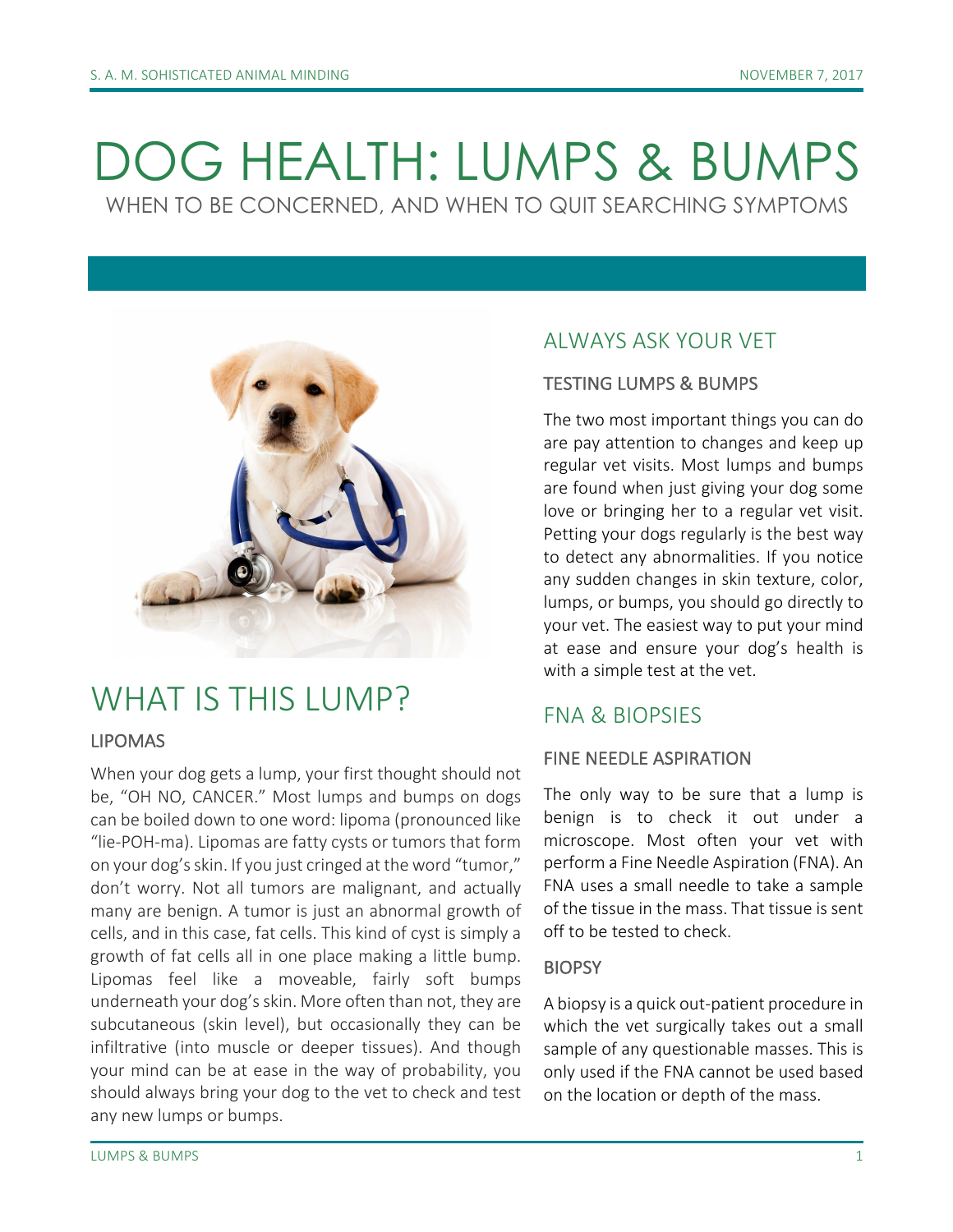# DOG HEALTH: LUMPS & BUMPS WHEN TO BE CONCERNED, AND WHEN TO QUIT SEARCHING SYMPTOMS

## WHAT IS THIS LUMP?

#### LIPOMAS

When your dog gets a lump, your first thought should not be, "OH NO, CANCER." Most lumps and bumps on dogs can be boiled down to one word: lipoma (pronounced like "lie-POH-ma). Lipomas are fatty cysts or tumors that form on your dog's skin. If you just cringed at the word "tumor," don't worry. Not all tumors are malignant, and actually many are benign. A tumor is just an abnormal growth of cells, and in this case, fat cells. This kind of cyst is simply a growth of fat cells all in one place making a little bump. Lipomas feel like a moveable, fairly soft bumps underneath your dog's skin. More often than not, they are subcutaneous (skin level), but occasionally they can be infiltrative (into muscle or deeper tissues). And though your mind can be at ease in the way of probability, you should always bring your dog to the vet to check and test any new lumps or bumps.

## AI WAYS ASK YOUR VET

#### **TESTING LUMPS & BUMPS**

The two most important things you can do are pay attention to changes and keep up regular vet visits. Most lumps and bumps are found when just giving your dog some love or bringing her to a regular vet visit. Petting your dogs regularly is the best way to detect any abnormalities. If you notice any sudden changes in skin texture, color, lumps, or bumps, you should go directly to your vet. The easiest way to put your mind at ease and ensure your dog's health is with a simple test at the vet.

### FNA & BIOPSIES

#### FINE NEEDLE ASPIRATION

The only way to be sure that a lump is benign is to check it out under a microscope. Most often your vet with perform a Fine Needle Aspiration (FNA). An FNA uses a small needle to take a sample of the tissue in the mass. That tissue is sent off to be tested to check.

#### **BIOPSY**

A biopsy is a quick out-patient procedure in which the vet surgically takes out a small sample of any questionable masses. This is only used if the FNA cannot be used based on the location or depth of the mass.